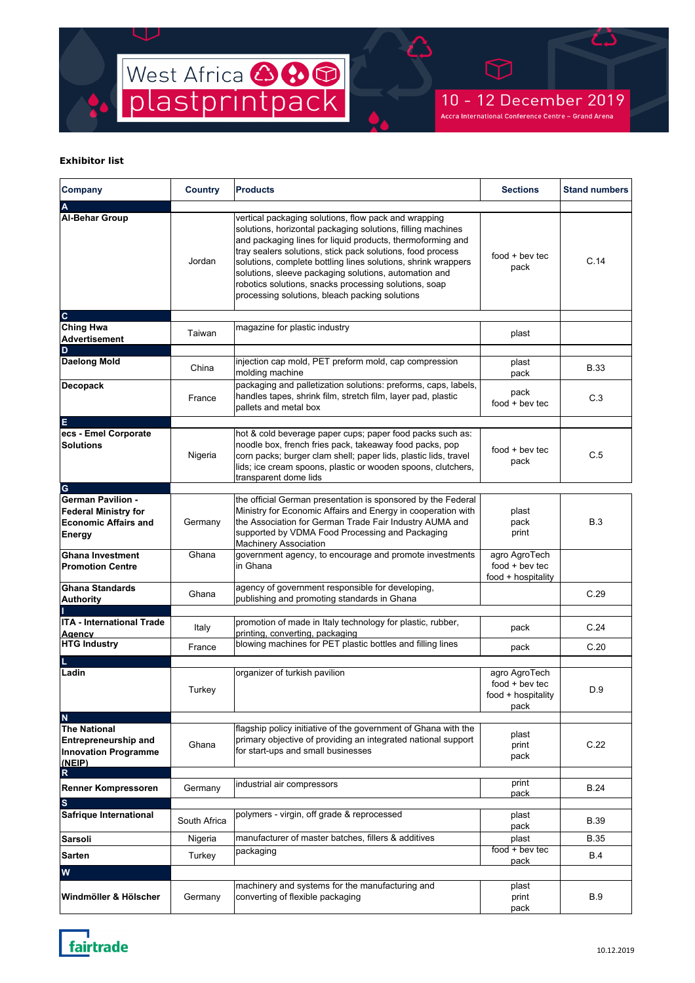

10 - 12 December 2019 Accra International Conference Centre - Grand Arena

| Company                                                                                                      | <b>Country</b> | <b>Products</b>                                                                                                                                                                                                                                                                                                                                                                                                                                                                      | <b>Sections</b>                                                 | <b>Stand numbers</b> |
|--------------------------------------------------------------------------------------------------------------|----------------|--------------------------------------------------------------------------------------------------------------------------------------------------------------------------------------------------------------------------------------------------------------------------------------------------------------------------------------------------------------------------------------------------------------------------------------------------------------------------------------|-----------------------------------------------------------------|----------------------|
| A<br><b>Al-Behar Group</b>                                                                                   | Jordan         | vertical packaging solutions, flow pack and wrapping<br>solutions, horizontal packaging solutions, filling machines<br>and packaging lines for liquid products, thermoforming and<br>tray sealers solutions, stick pack solutions, food process<br>solutions, complete bottling lines solutions, shrink wrappers<br>solutions, sleeve packaging solutions, automation and<br>robotics solutions, snacks processing solutions, soap<br>processing solutions, bleach packing solutions | $food + bev$ tec<br>pack                                        | C.14                 |
| $\mathbf{C}$                                                                                                 |                |                                                                                                                                                                                                                                                                                                                                                                                                                                                                                      |                                                                 |                      |
| <b>Ching Hwa</b><br><b>Advertisement</b><br>D                                                                | Taiwan         | magazine for plastic industry                                                                                                                                                                                                                                                                                                                                                                                                                                                        | plast                                                           |                      |
| <b>Daelong Mold</b>                                                                                          | China          | injection cap mold, PET preform mold, cap compression<br>molding machine                                                                                                                                                                                                                                                                                                                                                                                                             | plast<br>pack                                                   | <b>B.33</b>          |
| <b>Decopack</b>                                                                                              | France         | packaging and palletization solutions: preforms, caps, labels,<br>handles tapes, shrink film, stretch film, layer pad, plastic<br>pallets and metal box                                                                                                                                                                                                                                                                                                                              | pack<br>$food + bev$ tec                                        | C.3                  |
| E<br>ecs - Emel Corporate<br><b>Solutions</b>                                                                | Nigeria        | hot & cold beverage paper cups; paper food packs such as:<br>noodle box, french fries pack, takeaway food packs, pop<br>corn packs; burger clam shell; paper lids, plastic lids, travel<br>lids; ice cream spoons, plastic or wooden spoons, clutchers,<br>transparent dome lids                                                                                                                                                                                                     | $food + bev$ tec<br>pack                                        | C.5                  |
| G<br><b>German Pavilion -</b><br><b>Federal Ministry for</b><br><b>Economic Affairs and</b><br><b>Energy</b> | Germany        | the official German presentation is sponsored by the Federal<br>Ministry for Economic Affairs and Energy in cooperation with<br>the Association for German Trade Fair Industry AUMA and<br>supported by VDMA Food Processing and Packaging<br>Machinery Association                                                                                                                                                                                                                  | plast<br>pack<br>print                                          | B.3                  |
| <b>Ghana Investment</b><br><b>Promotion Centre</b>                                                           | Ghana          | government agency, to encourage and promote investments<br>in Ghana                                                                                                                                                                                                                                                                                                                                                                                                                  | agro AgroTech<br>$food + bev$ tec<br>food + hospitality         |                      |
| <b>Ghana Standards</b><br><b>Authority</b>                                                                   | Ghana          | agency of government responsible for developing,<br>publishing and promoting standards in Ghana                                                                                                                                                                                                                                                                                                                                                                                      |                                                                 | C.29                 |
| <b>ITA - International Trade</b><br>Agency                                                                   | Italy          | promotion of made in Italy technology for plastic, rubber,<br>printing, converting, packaging                                                                                                                                                                                                                                                                                                                                                                                        | pack                                                            | C.24                 |
| <b>HTG Industry</b>                                                                                          | France         | blowing machines for PET plastic bottles and filling lines                                                                                                                                                                                                                                                                                                                                                                                                                           | pack                                                            | C.20                 |
| Ladin                                                                                                        | Turkey         | organizer of turkish pavilion                                                                                                                                                                                                                                                                                                                                                                                                                                                        | agro AgroTech<br>$food + bev$ tec<br>food + hospitality<br>pack | D.9                  |
| $\mathbf N$<br><b>The National</b><br><b>Entrepreneurship and</b><br><b>Innovation Programme</b><br>(NEIP)   | Ghana          | flagship policy initiative of the government of Ghana with the<br>primary objective of providing an integrated national support<br>for start-ups and small businesses                                                                                                                                                                                                                                                                                                                | plast<br>print<br>pack                                          | C.22                 |
| R<br>Renner Kompressoren                                                                                     | Germany        | industrial air compressors                                                                                                                                                                                                                                                                                                                                                                                                                                                           | print                                                           | <b>B.24</b>          |
| $\mathbf{s}$                                                                                                 |                |                                                                                                                                                                                                                                                                                                                                                                                                                                                                                      | pack                                                            |                      |
| Safrique International                                                                                       | South Africa   | polymers - virgin, off grade & reprocessed                                                                                                                                                                                                                                                                                                                                                                                                                                           | plast<br>pack                                                   | <b>B.39</b>          |
| <b>Sarsoli</b>                                                                                               | Nigeria        | manufacturer of master batches, fillers & additives                                                                                                                                                                                                                                                                                                                                                                                                                                  | plast                                                           | <b>B.35</b>          |
| <b>Sarten</b>                                                                                                | Turkey         | packaging                                                                                                                                                                                                                                                                                                                                                                                                                                                                            | food + bev tec                                                  | <b>B.4</b>           |
| W                                                                                                            |                |                                                                                                                                                                                                                                                                                                                                                                                                                                                                                      | pack                                                            |                      |
| Windmöller & Hölscher                                                                                        | Germany        | machinery and systems for the manufacturing and<br>converting of flexible packaging                                                                                                                                                                                                                                                                                                                                                                                                  | plast<br>print<br>pack                                          | <b>B.9</b>           |

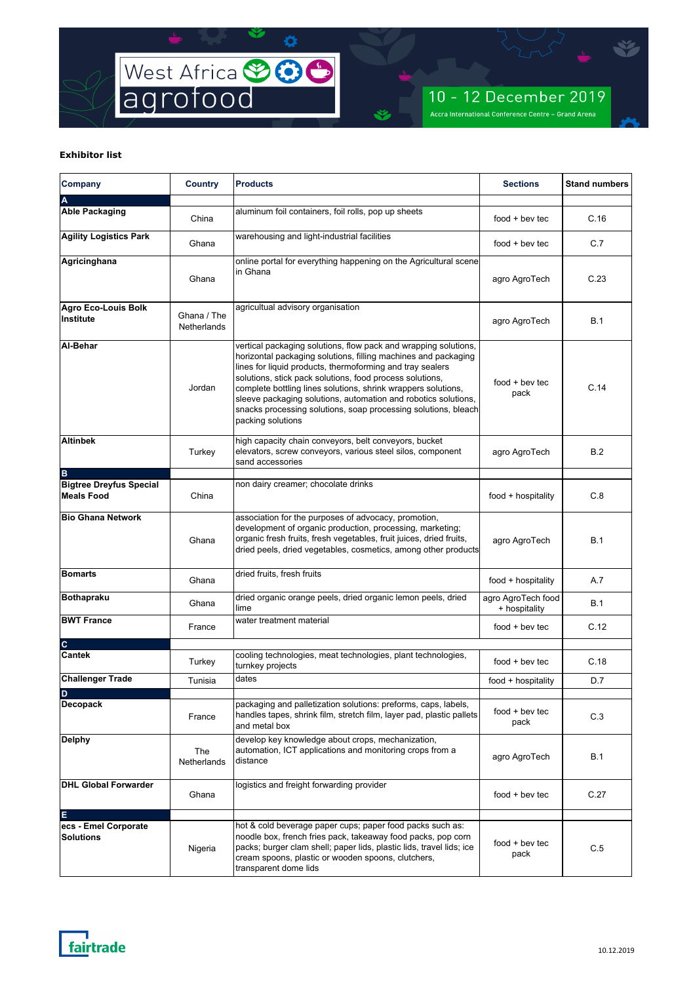

| Company                                                  | Country                    | <b>Products</b>                                                                                                                                                                                                                                                                                                                                                                                                                                                                      | <b>Sections</b>                     | <b>Stand numbers</b> |
|----------------------------------------------------------|----------------------------|--------------------------------------------------------------------------------------------------------------------------------------------------------------------------------------------------------------------------------------------------------------------------------------------------------------------------------------------------------------------------------------------------------------------------------------------------------------------------------------|-------------------------------------|----------------------|
|                                                          |                            |                                                                                                                                                                                                                                                                                                                                                                                                                                                                                      |                                     |                      |
| <b>Able Packaging</b>                                    | China                      | aluminum foil containers, foil rolls, pop up sheets                                                                                                                                                                                                                                                                                                                                                                                                                                  | $food + bev$ tec                    | C.16                 |
| <b>Agility Logistics Park</b>                            | Ghana                      | warehousing and light-industrial facilities                                                                                                                                                                                                                                                                                                                                                                                                                                          | $food + bev$ tec                    | C.7                  |
| Agricinghana                                             | Ghana                      | online portal for everything happening on the Agricultural scene<br>in Ghana                                                                                                                                                                                                                                                                                                                                                                                                         | agro AgroTech                       | C.23                 |
| <b>Agro Eco-Louis Bolk</b><br>Institute                  | Ghana / The<br>Netherlands | agricultual advisory organisation                                                                                                                                                                                                                                                                                                                                                                                                                                                    | agro AgroTech                       | B.1                  |
| Al-Behar                                                 | Jordan                     | vertical packaging solutions, flow pack and wrapping solutions,<br>horizontal packaging solutions, filling machines and packaging<br>lines for liquid products, thermoforming and tray sealers<br>solutions, stick pack solutions, food process solutions,<br>complete bottling lines solutions, shrink wrappers solutions,<br>sleeve packaging solutions, automation and robotics solutions,<br>snacks processing solutions, soap processing solutions, bleach<br>packing solutions | $food + bev$ tec<br>pack            | C.14                 |
| <b>Altinbek</b>                                          | Turkey                     | high capacity chain conveyors, belt conveyors, bucket<br>elevators, screw conveyors, various steel silos, component<br>sand accessories                                                                                                                                                                                                                                                                                                                                              | agro AgroTech                       | B.2                  |
| B<br><b>Bigtree Dreyfus Special</b><br><b>Meals Food</b> | China                      | non dairy creamer; chocolate drinks                                                                                                                                                                                                                                                                                                                                                                                                                                                  | food + hospitality                  | C.8                  |
| <b>Bio Ghana Network</b>                                 | Ghana                      | association for the purposes of advocacy, promotion,<br>development of organic production, processing, marketing;<br>organic fresh fruits, fresh vegetables, fruit juices, dried fruits,<br>dried peels, dried vegetables, cosmetics, among other products                                                                                                                                                                                                                           | agro AgroTech                       | B.1                  |
| <b>Bomarts</b>                                           | Ghana                      | dried fruits, fresh fruits                                                                                                                                                                                                                                                                                                                                                                                                                                                           | food + hospitality                  | A.7                  |
| <b>Bothapraku</b>                                        | Ghana                      | dried organic orange peels, dried organic lemon peels, dried<br>lime                                                                                                                                                                                                                                                                                                                                                                                                                 | agro AgroTech food<br>+ hospitality | B.1                  |
| <b>BWT France</b>                                        | France                     | water treatment material                                                                                                                                                                                                                                                                                                                                                                                                                                                             | $food + bev$ tec                    | C.12                 |
| $\mathbf{C}$                                             |                            |                                                                                                                                                                                                                                                                                                                                                                                                                                                                                      |                                     |                      |
| <b>Cantek</b>                                            | Turkey                     | cooling technologies, meat technologies, plant technologies,<br>turnkey projects                                                                                                                                                                                                                                                                                                                                                                                                     | $food + bev$ tec                    | C.18                 |
| <b>Challenger Trade</b>                                  | Tunisia                    | dates                                                                                                                                                                                                                                                                                                                                                                                                                                                                                | food + hospitality                  | D.7                  |
| D.<br><b>Decopack</b>                                    | France                     | packaging and palletization solutions: preforms, caps, labels,<br>handles tapes, shrink film, stretch film, layer pad, plastic pallets<br>and metal box                                                                                                                                                                                                                                                                                                                              | $food + bev$ tec<br>pack            | C.3                  |
| <b>Delphy</b>                                            | The<br>Netherlands         | develop key knowledge about crops, mechanization,<br>automation, ICT applications and monitoring crops from a<br>distance                                                                                                                                                                                                                                                                                                                                                            | agro AgroTech                       | <b>B.1</b>           |
| <b>DHL Global Forwarder</b>                              | Ghana                      | logistics and freight forwarding provider                                                                                                                                                                                                                                                                                                                                                                                                                                            | $food + bev$ tec                    | C.27                 |
| E                                                        |                            |                                                                                                                                                                                                                                                                                                                                                                                                                                                                                      |                                     |                      |
| ecs - Emel Corporate<br><b>Solutions</b>                 | Nigeria                    | hot & cold beverage paper cups; paper food packs such as:<br>noodle box, french fries pack, takeaway food packs, pop corn<br>packs; burger clam shell; paper lids, plastic lids, travel lids; ice<br>cream spoons, plastic or wooden spoons, clutchers,<br>transparent dome lids                                                                                                                                                                                                     | $food + bev$ tec<br>pack            | C.5                  |

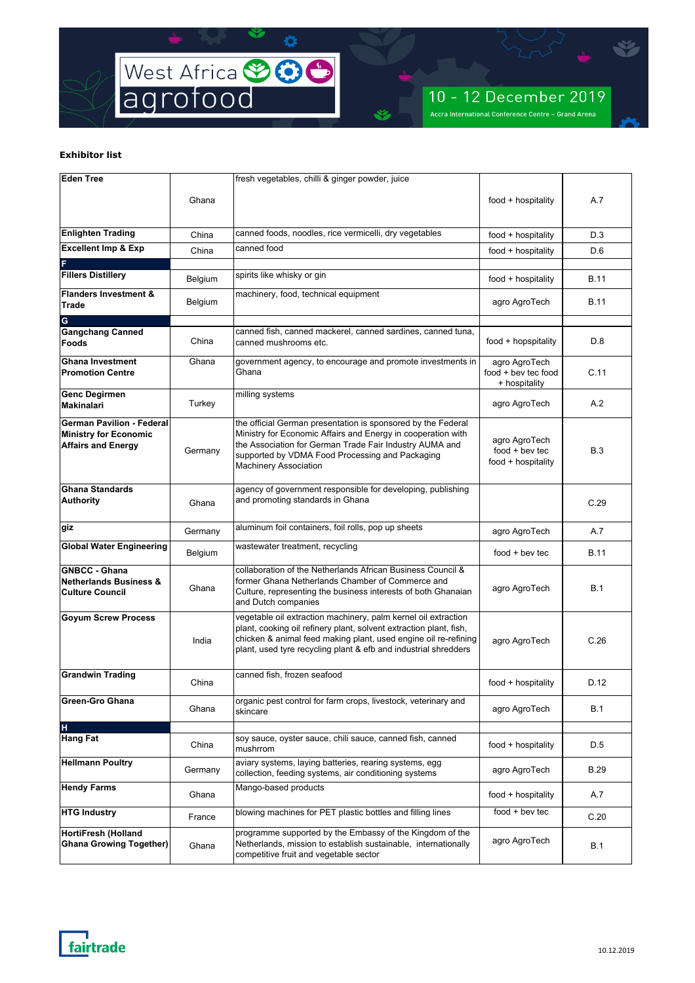

| Eden Tree                                                                                     |         | fresh vegetables, chilli & ginger powder, juice                                                                                                                                                                                                                            |                                                         |             |
|-----------------------------------------------------------------------------------------------|---------|----------------------------------------------------------------------------------------------------------------------------------------------------------------------------------------------------------------------------------------------------------------------------|---------------------------------------------------------|-------------|
|                                                                                               | Ghana   |                                                                                                                                                                                                                                                                            | food + hospitality                                      | A.7         |
| <b>Enlighten Trading</b>                                                                      | China   | canned foods, noodles, rice vermicelli, dry vegetables                                                                                                                                                                                                                     | food + hospitality                                      | D.3         |
| <b>Excellent Imp &amp; Exp</b>                                                                | China   | canned food                                                                                                                                                                                                                                                                | food + hospitality                                      | D.6         |
|                                                                                               |         |                                                                                                                                                                                                                                                                            |                                                         |             |
| <b>Fillers Distillery</b>                                                                     | Belgium | spirits like whisky or gin                                                                                                                                                                                                                                                 | food + hospitality                                      | <b>B.11</b> |
| <b>Flanders Investment &amp;</b><br><b>Trade</b>                                              | Belgium | machinery, food, technical equipment                                                                                                                                                                                                                                       | agro AgroTech                                           | <b>B.11</b> |
| G                                                                                             |         |                                                                                                                                                                                                                                                                            |                                                         |             |
| <b>Gangchang Canned</b><br><b>Foods</b>                                                       | China   | canned fish, canned mackerel, canned sardines, canned tuna,<br>canned mushrooms etc.                                                                                                                                                                                       | food + hopspitality                                     | D.8         |
| <b>Ghana Investment</b><br><b>Promotion Centre</b>                                            | Ghana   | government agency, to encourage and promote investments in<br>Ghana                                                                                                                                                                                                        | agro AgroTech<br>food + bev tec food<br>+ hospitality   | C.11        |
| <b>Genc Degirmen</b><br><b>Makinalari</b>                                                     | Turkey  | milling systems                                                                                                                                                                                                                                                            | agro AgroTech                                           | A.2         |
| <b>German Pavilion - Federal</b><br><b>Ministry for Economic</b><br><b>Affairs and Energy</b> | Germany | the official German presentation is sponsored by the Federal<br>Ministry for Economic Affairs and Energy in cooperation with<br>the Association for German Trade Fair Industry AUMA and<br>supported by VDMA Food Processing and Packaging<br><b>Machinery Association</b> | agro AgroTech<br>$food + bev$ tec<br>food + hospitality | B.3         |
| <b>Ghana Standards</b><br><b>Authority</b>                                                    | Ghana   | agency of government responsible for developing, publishing<br>and promoting standards in Ghana                                                                                                                                                                            |                                                         | C.29        |
| giz                                                                                           | Germany | aluminum foil containers, foil rolls, pop up sheets                                                                                                                                                                                                                        | agro AgroTech                                           | A.7         |
| <b>Global Water Engineering</b>                                                               | Belgium | wastewater treatment, recycling                                                                                                                                                                                                                                            | $food + bev$ tec                                        | B.11        |
| <b>GNBCC - Ghana</b><br><b>Netherlands Business &amp;</b><br><b>Culture Council</b>           | Ghana   | collaboration of the Netherlands African Business Council &<br>former Ghana Netherlands Chamber of Commerce and<br>Culture, representing the business interests of both Ghanaian<br>and Dutch companies                                                                    | agro AgroTech                                           | B.1         |
| <b>Goyum Screw Process</b>                                                                    | India   | vegetable oil extraction machinery, palm kernel oil extraction<br>plant, cooking oil refinery plant, solvent extraction plant, fish,<br>chicken & animal feed making plant, used engine oil re-refining<br>plant, used tyre recycling plant & efb and industrial shredders | agro AgroTech                                           | C.26        |
| <b>Grandwin Trading</b>                                                                       | China   | canned fish, frozen seafood                                                                                                                                                                                                                                                | food + hospitality                                      | D.12        |
| <b>Green-Gro Ghana</b>                                                                        | Ghana   | organic pest control for farm crops, livestock, veterinary and<br>skincare                                                                                                                                                                                                 | agro AgroTech                                           | B.1         |
| H<br><b>Hang Fat</b>                                                                          | China   | soy sauce, oyster sauce, chili sauce, canned fish, canned<br>mushrrom                                                                                                                                                                                                      | food + hospitality                                      | D.5         |
| <b>Hellmann Poultry</b>                                                                       | Germany | aviary systems, laying batteries, rearing systems, egg<br>collection, feeding systems, air conditioning systems                                                                                                                                                            | agro AgroTech                                           | B.29        |
| <b>Hendy Farms</b>                                                                            | Ghana   | Mango-based products                                                                                                                                                                                                                                                       | food + hospitality                                      | A.7         |
| <b>HTG Industry</b>                                                                           | France  | blowing machines for PET plastic bottles and filling lines                                                                                                                                                                                                                 | $food + bev$ tec                                        | C.20        |
| <b>HortiFresh (Holland</b><br><b>Ghana Growing Together)</b>                                  | Ghana   | programme supported by the Embassy of the Kingdom of the<br>Netherlands, mission to establish sustainable, internationally<br>competitive fruit and vegetable sector                                                                                                       | agro AgroTech                                           | <b>B.1</b>  |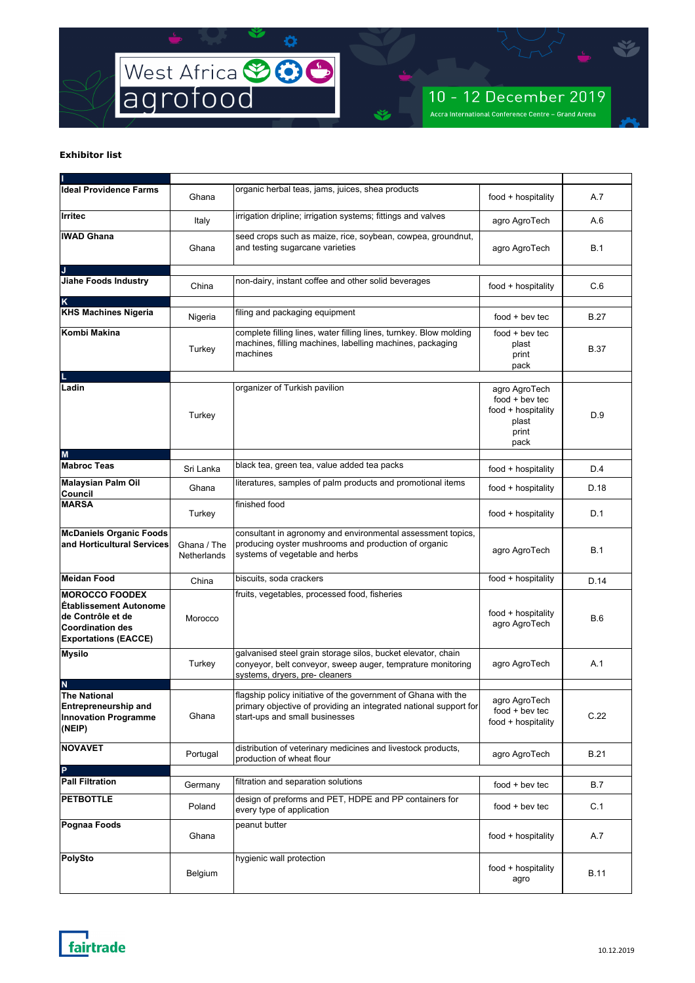

| <b>Ideal Providence Farms</b>                                                                                                         | Ghana                      | organic herbal teas, jams, juices, shea products                                                                                                                      | food + hospitality                                                                | A.7         |
|---------------------------------------------------------------------------------------------------------------------------------------|----------------------------|-----------------------------------------------------------------------------------------------------------------------------------------------------------------------|-----------------------------------------------------------------------------------|-------------|
| Irritec                                                                                                                               | Italy                      | irrigation dripline; irrigation systems; fittings and valves                                                                                                          | agro AgroTech                                                                     | A.6         |
| <b>IWAD Ghana</b>                                                                                                                     | Ghana                      | seed crops such as maize, rice, soybean, cowpea, groundnut,<br>and testing sugarcane varieties                                                                        | agro AgroTech                                                                     | <b>B.1</b>  |
| J<br><b>Jiahe Foods Industry</b>                                                                                                      | China                      | non-dairy, instant coffee and other solid beverages                                                                                                                   | food + hospitality                                                                | C.6         |
| K<br><b>KHS Machines Nigeria</b>                                                                                                      | Nigeria                    | filing and packaging equipment                                                                                                                                        | $food + bev$ tec                                                                  | B.27        |
| Kombi Makina                                                                                                                          | Turkey                     | complete filling lines, water filling lines, turnkey. Blow molding<br>machines, filling machines, labelling machines, packaging<br>machines                           | $food + bev$ tec<br>plast<br>print<br>pack                                        | B.37        |
| Ladin                                                                                                                                 | Turkey                     | organizer of Turkish pavilion                                                                                                                                         | agro AgroTech<br>$food + bev$ tec<br>food + hospitality<br>plast<br>print<br>pack | D.9         |
| M<br><b>Mabroc Teas</b>                                                                                                               | Sri Lanka                  | black tea, green tea, value added tea packs                                                                                                                           | food + hospitality                                                                | D.4         |
| <b>Malaysian Palm Oil</b><br>Council                                                                                                  | Ghana                      | literatures, samples of palm products and promotional items                                                                                                           | food + hospitality                                                                | D.18        |
| <b>MARSA</b>                                                                                                                          | Turkey                     | finished food                                                                                                                                                         | food + hospitality                                                                | D.1         |
| <b>McDaniels Organic Foods</b><br>and Horticultural Services                                                                          | Ghana / The<br>Netherlands | consultant in agronomy and environmental assessment topics,<br>producing oyster mushrooms and production of organic<br>systems of vegetable and herbs                 | agro AgroTech                                                                     | <b>B.1</b>  |
| <b>Meidan Food</b>                                                                                                                    | China                      | biscuits, soda crackers                                                                                                                                               | food + hospitality                                                                | D.14        |
| <b>MOROCCO FOODEX</b><br><b>Établissement Autonome</b><br>de Contrôle et de<br><b>Coordination des</b><br><b>Exportations (EACCE)</b> | Morocco                    | fruits, vegetables, processed food, fisheries                                                                                                                         | food + hospitality<br>agro AgroTech                                               | <b>B.6</b>  |
| <b>Mysilo</b>                                                                                                                         | Turkey                     | galvanised steel grain storage silos, bucket elevator, chain<br>conyeyor, belt conveyor, sweep auger, temprature monitoring<br>systems, dryers, pre- cleaners         | agro AgroTech                                                                     | A.1         |
| <b>The National</b><br><b>Entrepreneurship and</b><br><b>Innovation Programme</b><br>(NEIP)                                           | Ghana                      | flagship policy initiative of the government of Ghana with the<br>primary objective of providing an integrated national support for<br>start-ups and small businesses | agro AgroTech<br>$food + bev$ tec<br>food + hospitality                           | C.22        |
| <b>NOVAVET</b>                                                                                                                        | Portugal                   | distribution of veterinary medicines and livestock products,<br>production of wheat flour                                                                             | agro AgroTech                                                                     | <b>B.21</b> |
| P<br><b>Pall Filtration</b>                                                                                                           | Germany                    | filtration and separation solutions                                                                                                                                   | $food + bev$ tec                                                                  | <b>B.7</b>  |
| <b>PETBOTTLE</b>                                                                                                                      | Poland                     | design of preforms and PET, HDPE and PP containers for<br>every type of application                                                                                   | $food + bev$ tec                                                                  | C.1         |
| Pognaa Foods                                                                                                                          | Ghana                      | peanut butter                                                                                                                                                         | food + hospitality                                                                | A.7         |
| PolySto                                                                                                                               | Belgium                    | hygienic wall protection                                                                                                                                              | food + hospitality<br>agro                                                        | <b>B.11</b> |